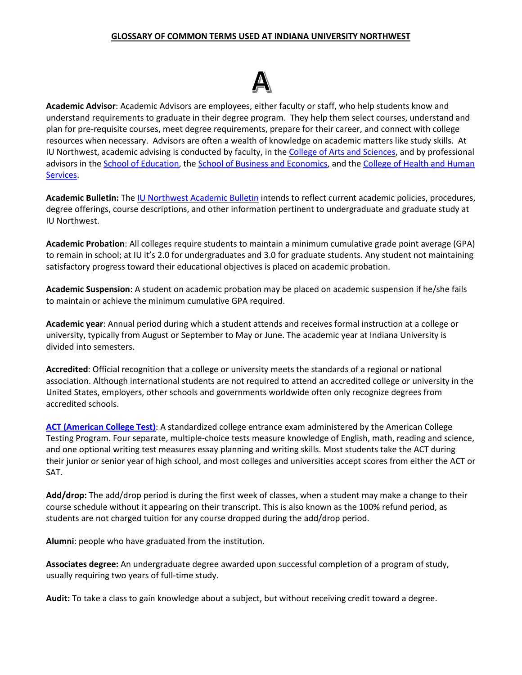### **GLOSSARY OF COMMON TERMS USED AT INDIANA UNIVERSITY NORTHWEST**



**Academic Advisor**: Academic Advisors are employees, either faculty or staff, who help students know and understand requirements to graduate in their degree program. They help them select courses, understand and plan for pre-requisite courses, meet degree requirements, prepare for their career, and connect with college resources when necessary. Advisors are often a wealth of knowledge on academic matters like study skills. At IU Northwest, academic advising is conducted by faculty, in the [College of Arts and Sciences,](https://www.iun.edu/coas/) and by professional advisors in th[e School of Education,](https://www.iun.edu/education/index.htm) th[e School of Business and Economics,](https://www.iun.edu/business/index.htm) and the College of Health and Human [Services.](https://www.iun.edu/chhs/)

**Academic Bulletin:** The [IU Northwest Academic Bulletin](https://www.iun.edu/bulletin/) intends to reflect current academic policies, procedures, degree offerings, course descriptions, and other information pertinent to undergraduate and graduate study at IU Northwest.

**Academic Probation**: All colleges require students to maintain a minimum cumulative grade point average (GPA) to remain in school; at IU it's 2.0 for undergraduates and 3.0 for graduate students. Any student not maintaining satisfactory progress toward their educational objectives is placed on academic probation.

**Academic Suspension**: A student on academic probation may be placed on academic suspension if he/she fails to maintain or achieve the minimum cumulative GPA required.

**Academic year**: Annual period during which a student attends and receives formal instruction at a college or university, typically from August or September to May or June. The academic year at Indiana University is divided into semesters.

**Accredited**: Official recognition that a college or university meets the standards of a regional or national association. Although international students are not required to attend an accredited college or university in the United States, employers, other schools and governments worldwide often only recognize degrees from accredited schools.

**[ACT \(American College Test\)](https://www.iun.edu/career-services/student/work-study.htm)**: A standardized college entrance exam administered by the American College Testing Program. Four separate, multiple-choice tests measure knowledge of English, math, reading and science, and one optional writing test measures essay planning and writing skills. Most students take the ACT during their junior or senior year of high school, and most colleges and universities accept scores from either the ACT or SAT.

**Add/drop:** The add/drop period is during the first week of classes, when a student may make a change to their course schedule without it appearing on their transcript. This is also known as the 100% refund period, as students are not charged tuition for any course dropped during the add/drop period.

**Alumni**: people who have graduated from the institution.

**Associates degree:** An undergraduate degree awarded upon successful completion of a program of study, usually requiring two years of full-time study.

**Audit:** To take a class to gain knowledge about a subject, but without receiving credit toward a degree.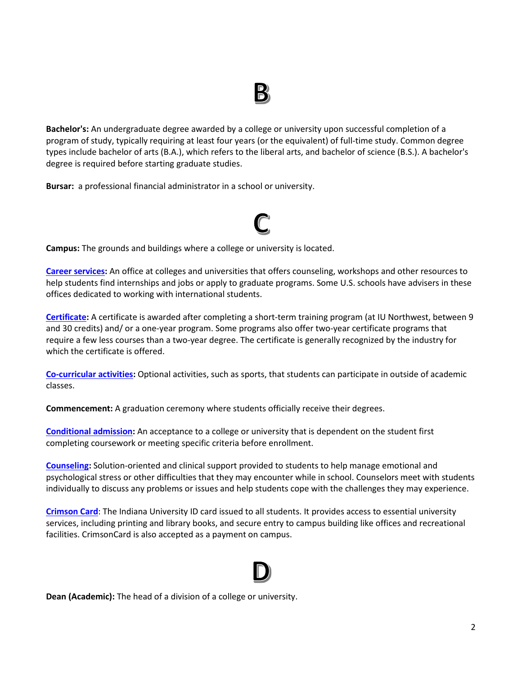**Bachelor's:** An undergraduate degree awarded by a college or university upon successful completion of a program of study, typically requiring at least four years (or the equivalent) of full-time study. Common degree types include bachelor of arts (B.A.), which refers to the liberal arts, and bachelor of science (B.S.). A bachelor's degree is required before starting graduate studies.

**Bursar:** a professional financial administrator in a school or university.



**Campus:** The grounds and buildings where a college or university is located.

**[Career services:](https://www.iun.edu/career-services/)** An office at colleges and universities that offers counseling, workshops and other resources to help students find internships and jobs or apply to graduate programs. Some U.S. schools have advisers in these offices dedicated to working with international students.

**[Certificate:](https://www.iun.edu/graduate-programs/index.htm#cert)** A certificate is awarded after completing a short-term training program (at IU Northwest, between 9 and 30 credits) and/ or a one-year program. Some programs also offer two-year certificate programs that require a few less courses than a two-year degree. The certificate is generally recognized by the industry for which the certificate is offered.

**[Co-curricular activities:](https://www.iun.edu/student-activities/)** Optional activities, such as sports, that students can participate in outside of academic classes.

**Commencement:** A graduation ceremony where students officially receive their degrees.

**[Conditional admission:](https://www.iun.edu/academic-success/critical-literacy/index.htm)** An acceptance to a college or university that is dependent on the student first completing coursework or meeting specific criteria before enrollment.

**[Counseling:](https://www.iun.edu/counseling-services/)** Solution-oriented and clinical support provided to students to help manage emotional and psychological stress or other difficulties that they may encounter while in school. Counselors meet with students individually to discuss any problems or issues and help students cope with the challenges they may experience.

**[Crimson Card](https://www.iun.edu/financialaid/billing/crimsoncard.htm)**: The Indiana University ID card issued to all students. It provides access to essential university services, including printing and library books, and secure entry to campus building like offices and recreational facilities. CrimsonCard is also accepted as a payment on campus.

**Dean (Academic):** The head of a division of a college or university.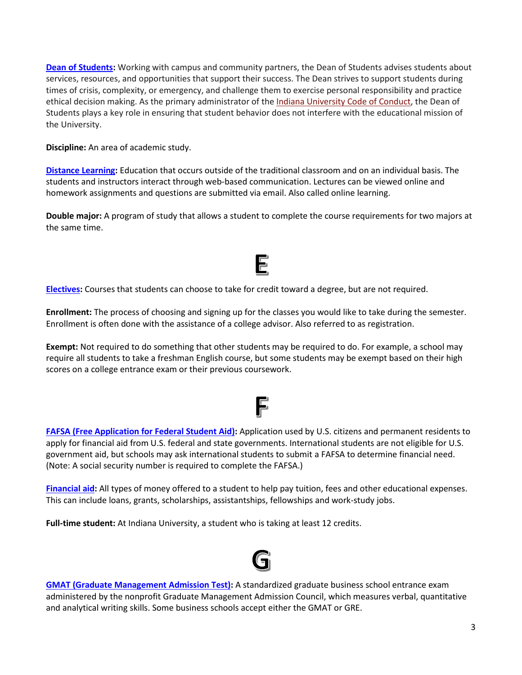**[Dean of Students:](https://www.iun.edu/student-affairs/dean-of-students/index.htm)** Working with campus and community partners, the Dean of Students advises students about services, resources, and opportunities that support their success. The Dean strives to support students during times of crisis, complexity, or emergency, and challenge them to exercise personal responsibility and practice ethical decision making. As the primary administrator of the [Indiana University Code of Conduct,](http://studentcode.iu.edu/) the Dean of Students plays a key role in ensuring that student behavior does not interfere with the educational mission of the University.

**Discipline:** An area of academic study.

**[Distance Learning:](https://www.iun.edu/online/)** Education that occurs outside of the traditional classroom and on an individual basis. The students and instructors interact through web-based communication. Lectures can be viewed online and homework assignments and questions are submitted via email. Also called online learning.

**Double major:** A program of study that allows a student to complete the course requirements for two majors at the same time.

E

**[Electives:](https://www.iun.edu/bulletin/schools/coas/general-studies/required-learning/electives.shtml)** Courses that students can choose to take for credit toward a degree, but are not required.

**Enrollment:** The process of choosing and signing up for the classes you would like to take during the semester. Enrollment is often done with the assistance of a college advisor. Also referred to as registration.

**Exempt:** Not required to do something that other students may be required to do. For example, a school may require all students to take a freshman English course, but some students may be exempt based on their high scores on a college entrance exam or their previous coursework.

## F

**[FAFSA \(Free Application for Federal Student Aid\):](https://fafsa.ed.gov/)** Application used by U.S. citizens and permanent residents to apply for financial aid from U.S. federal and state governments. International students are not eligible for U.S. government aid, but schools may ask international students to submit a FAFSA to determine financial need. (Note: A social security number is required to complete the FAFSA.)

**[Financial aid:](https://www.iun.edu/financialaid/billing/crimsoncard.htm)** All types of money offered to a student to help pay tuition, fees and other educational expenses. This can include loans, grants, scholarships, assistantships, fellowships and work-study jobs.

**Full-time student:** At Indiana University, a student who is taking at least 12 credits.



**[GMAT \(Graduate Management Admission Test\):](https://www.gmac.com/gmat-other-assessments/about-the-gmat-exam.aspx)** A standardized [graduate](https://www.usnews.com/education/best-colleges/articles/2011/08/15/us-higher-education-glossary#graduate-student_graduate-studies) business school entrance exam administered by the nonprofit Graduate Management Admission Council, which measures verbal, quantitative and analytical writing skills. Some business schools accept either the GMAT or GRE.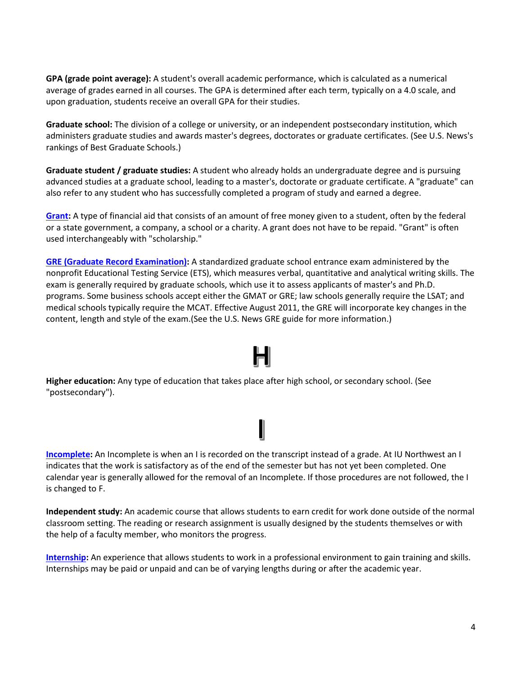**GPA (grade point average):** A student's overall academic performance, which is calculated as a numerical average of grades earned in all courses. The GPA is determined after each term, typically on a 4.0 scale, and upon graduation, students receive an overall GPA for their studies.

**Graduate school:** The division of a college or university, or an independent postsecondary institution, which administers graduate studies and awards master'[s degrees,](https://www.usnews.com/education/best-colleges/articles/2011/08/15/us-higher-education-glossary#degree) doctorates or graduate certificates. (See U.S. News's rankings of Best Graduate Schools.)

**Graduate student / graduate studies:** A student who already holds an undergraduate degree and is pursuing advanced studies at a graduate school, leading to a master's, doctorate or graduate certificate. A "graduate" can also refer to any student who has successfully completed a program of study and earned a degree.

**[Grant:](https://www.iun.edu/financialaid/current-students/scholarships-grants.htm)** A type of financial aid that consists of an amount of free money given to a student, often by the federal or a state government, a company, a school or a charity. A grant does not have to be repaid. "Grant" is often used interchangeably with "scholarship."

**[GRE \(Graduate Record Examination\):](https://www.ets.org/gre)** A standardized graduate school entrance exam administered by the nonprofit Educational Testing Service (ETS), which measures verbal, quantitative and analytical writing skills. The exam is generally required by graduate schools, which use it to assess applicants of master's and Ph.D. programs. Some business schools accept either the GMAT or GRE; law schools generally require the LSAT; and medical schools typically require the MCAT. Effective August 2011, the GRE will incorporate key changes in the content, length and style of the exam.(See the U.S. News GRE guide for more information.)

**Higher education:** Any type of education that takes place after high school, or secondary school. (See "postsecondary").

## **[Incomplete:](https://www.iun.edu/bulletin/policies/grades/incomplete.shtml)** An Incomplete is when an I is recorded on the transcript instead of a grade. At IU Northwest an I indicates that the work is satisfactory as of the end of the semester but has not yet been completed. One calendar year is generally allowed for the removal of an Incomplete. If those procedures are not followed, the I is changed to F.

**Independent study:** An academic course that allows students to earn credit for work done outside of the normal classroom setting. The reading or research assignment is usually designed by the students themselves or with the help of a faculty member, who monitors the progress.

**[Internship:](https://www.iun.edu/career-services/resources/internship-program-information.htm)** An experience that allows students to work in a professional environment to gain training and skills. Internships may be paid or unpaid and can be of varying lengths during or after the academic year.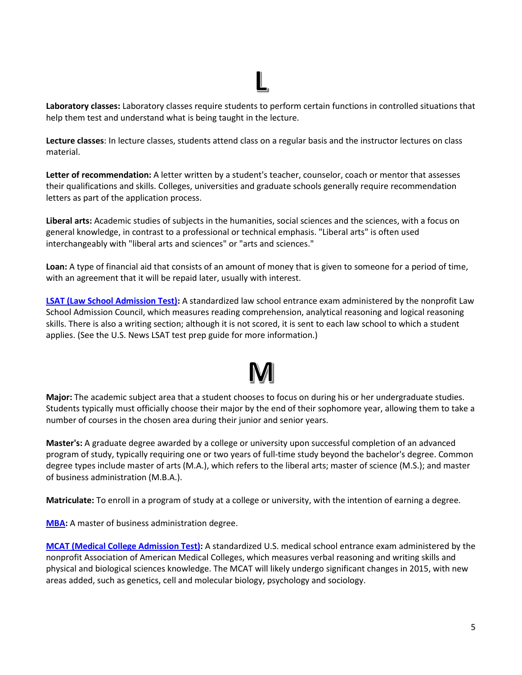**Laboratory classes:** Laboratory classes require students to perform certain functions in controlled situations that help them test and understand what is being taught in the lecture.

**Lecture classes**: In lecture classes, students attend class on a regular basis and the instructor lectures on class material.

**Letter of recommendation:** A letter written by a student's teacher, counselor, coach or mentor that assesses their qualifications and skills. Colleges, universities and graduate schools generally require recommendation letters as part of the application process.

**Liberal arts:** Academic studies of subjects in the humanities, social sciences and the sciences, with a focus on general knowledge, in contrast to a professional or technical emphasis. "Liberal arts" is often used interchangeably with "liberal arts and sciences" or "arts and sciences."

**Loan:** A type of financial aid that consists of an amount of money that is given to someone for a period of time, with an agreement that it will be repaid later, usually with interest.

**[LSAT \(Law School Admission Test\):](https://www.lsac.org/jd/lsat)** A standardized law school entrance exam administered by the nonprofit Law School Admission Council, which measures reading comprehension, analytical reasoning and logical reasoning skills. There is also a writing section; although it is not scored, it is sent to each law school to which a student applies. (See the U.S. News LSAT test prep guide for more information.)

**Major:** The academic subject area that a student chooses to focus on during his or her undergraduate studies. Students typically must officially choose their major by the end of their sophomore year, allowing them to take a number of courses in the chosen area during their junior and senior years.

**Master's:** A graduate degree awarded by a college or university upon successful completion of an advanced program of study, typically requiring one or two years of full-time study beyond the bachelor's degree. Common degree types include master of arts (M.A.), which refers to the liberal arts; master of science (M.S.); and master of business administration (M.B.A.).

**Matriculate:** To enroll in a program of study at a college or university, with the intention of earning a degree.

**[MBA:](https://www.iun.edu/mba/)** A master of business administration degree.

**[MCAT \(Medical College Admission Test\):](https://students-residents.aamc.org/applying-medical-school/taking-mcat-exam/)** A standardized U.S. medical school entrance exam administered by the nonprofit Association of American Medical Colleges, which measures verbal reasoning and writing skills and physical and biological sciences knowledge. The MCAT will likely undergo significant changes in 2015, with new areas added, such as genetics, cell and molecular biology, psychology and sociology.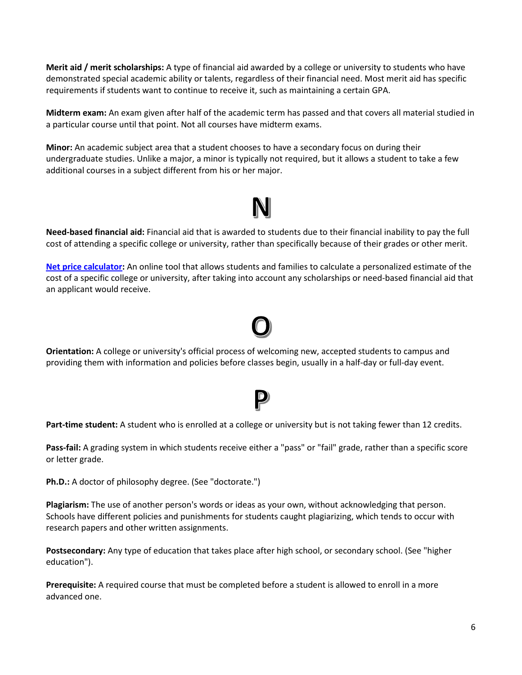**Merit aid / merit scholarships:** A type of financial aid awarded by a college or university to students who have demonstrated special academic ability or talents, regardless of their financial need. Most merit aid has specific requirements if students want to continue to receive it, such as maintaining a certain GPA.

**Midterm exam:** An exam given after half of the academic term has passed and that covers all material studied in a particular course until that point. Not all courses have midterm exams.

**Minor:** An academic subject area that a student chooses to have a secondary focus on during their undergraduate studies. Unlike a major, a minor is typically not required, but it allows a student to take a few additional courses in a subject different from his or her major.

**Need-based financial aid:** Financial aid that is awarded to students due to their financial inability to pay the full cost of attending a specific college or university, rather than specifically because of their grades or other merit.

**[Net price calculator:](https://iun.collegecosts.com/Estimator/Agreement)** An online tool that allows students and families to calculate a personalized estimate of the cost of a specific college or university, after taking into account any scholarships or need-based financial aid that an applicant would receive.

**Orientation:** A college or university's official process of welcoming new, accepted students to campus and providing them with information and policies before classes begin, usually in a half-day or full-day event.

## **Part-time student:** A student who is enrolled at a college or university but is not taking fewer than 12 credits.

**Pass-fail:** A grading system in which students receive either a "pass" or "fail" grade, rather than a specific score or letter grade.

**Ph.D.:** A doctor of philosophy degree. (See "doctorate.")

**Plagiarism:** The use of another person's words or ideas as your own, without acknowledging that person. Schools have different policies and punishments for students caught plagiarizing, which tends to occur with research papers and other written assignments.

**Postsecondary:** Any type of education that takes place after high school, or secondary school. (See "higher education").

**Prerequisite:** A required course that must be completed before a student is allowed to enroll in a more advanced one.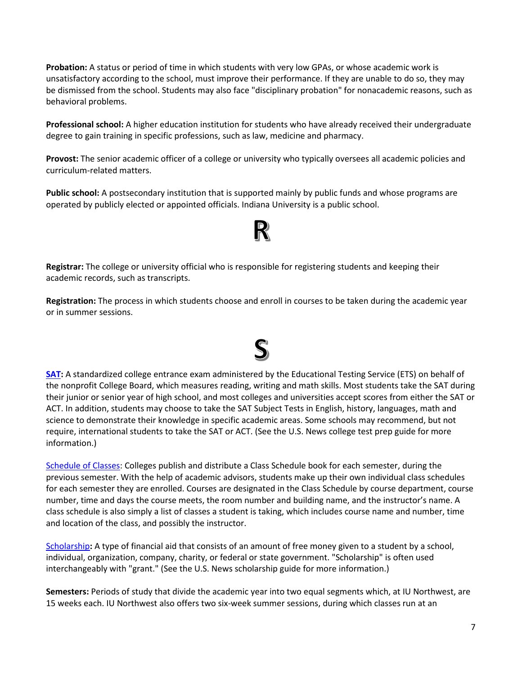**Probation:** A status or period of time in which students with very low GPAs, or whose academic work is unsatisfactory according to the school, must improve their performance. If they are unable to do so, they may be dismissed from the school. Students may also face "disciplinary probation" for nonacademic reasons, such as behavioral problems.

**Professional school:** A higher education institution for students who have already received their undergraduate degree to gain training in specific professions, such as law, medicine and pharmacy.

**Provost:** The senior academic officer of a college or university who typically oversees all academic policies and curriculum-related matters.

**Public school:** A postsecondary institution that is supported mainly by public funds and whose programs are operated by publicly elected or appointed officials. Indiana University is a public school.

## R

**Registrar:** The college or university official who is responsible for registering students and keeping their academic records, such as transcripts.

**Registration:** The process in which students choose and enroll in courses to be taken during the academic year or in summer sessions.



[Schedule of Classes:](https://app.iun.edu/iun/SChdClass/) Colleges publish and distribute a Class Schedule book for each semester, during the previous semester. With the help of academic advisors, students make up their own individual class schedules for each semester they are enrolled. Courses are designated in the Class Schedule by course department, course number, time and days the course meets, the room number and building name, and the instructor's name. A class schedule is also simply a list of classes a student is taking, which includes course name and number, time and location of the class, and possibly the instructor.

[Scholarship](https://www.iun.edu/financialaid/current-students/scholarships-grants.htm)**:** A type of financial aid that consists of an amount of free money given to a student by a school, individual, organization, company, charity, or federal or state government. "Scholarship" is often used interchangeably with "grant." (See the U.S. News scholarship guide for more information.)

**Semesters:** Periods of study that divide the academic year into two equal segments which, at IU Northwest, are 15 weeks each. IU Northwest also offers two six-week summer sessions, during which classes run at an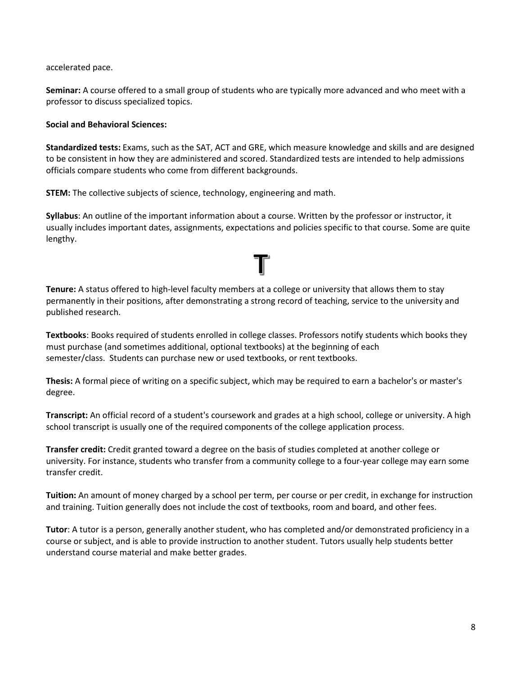accelerated pace.

**Seminar:** A course offered to a small group of students who are typically more advanced and who meet with a professor to discuss specialized topics.

### **Social and Behavioral Sciences:**

**Standardized tests:** Exams, such as the SAT, ACT and GRE, which measure knowledge and skills and are designed to be consistent in how they are administered and scored. Standardized tests are intended to help admissions officials compare students who come from different backgrounds.

**STEM:** The collective subjects of science, technology, engineering and math.

**Syllabus**: An outline of the important information about a course. Written by the professor or instructor, it usually includes important dates, assignments, expectations and policies specific to that course. Some are quite lengthy.

T

## **Tenure:** A status offered to high-level faculty members at a college or university that allows them to stay permanently in their positions, after demonstrating a strong record of teaching, service to the university and published research.

**Textbooks**: Books required of students enrolled in college classes. Professors notify students which books they must purchase (and sometimes additional, optional textbooks) at the beginning of each semester/class. Students can purchase new or used textbooks, or rent textbooks.

**Thesis:** A formal piece of writing on a specific subject, which may be required to earn a bachelor's or master's degree.

**Transcript:** An official record of a student's coursework and grades at a high school, college or university. A high school transcript is usually one of the required components of the college application process.

**Transfer credit:** Credit granted toward a degree on the basis of studies completed at another college or university. For instance, students who transfer from a community college to a four-year college may earn some transfer credit.

**Tuition:** An amount of money charged by a school per term, per course or per credit, in exchange for instruction and training. Tuition generally does not include the cost of textbooks, room and board, and other fees.

**Tutor**: A tutor is a person, generally another student, who has completed and/or demonstrated proficiency in a course or subject, and is able to provide instruction to another student. Tutors usually help students better understand course material and make better grades.